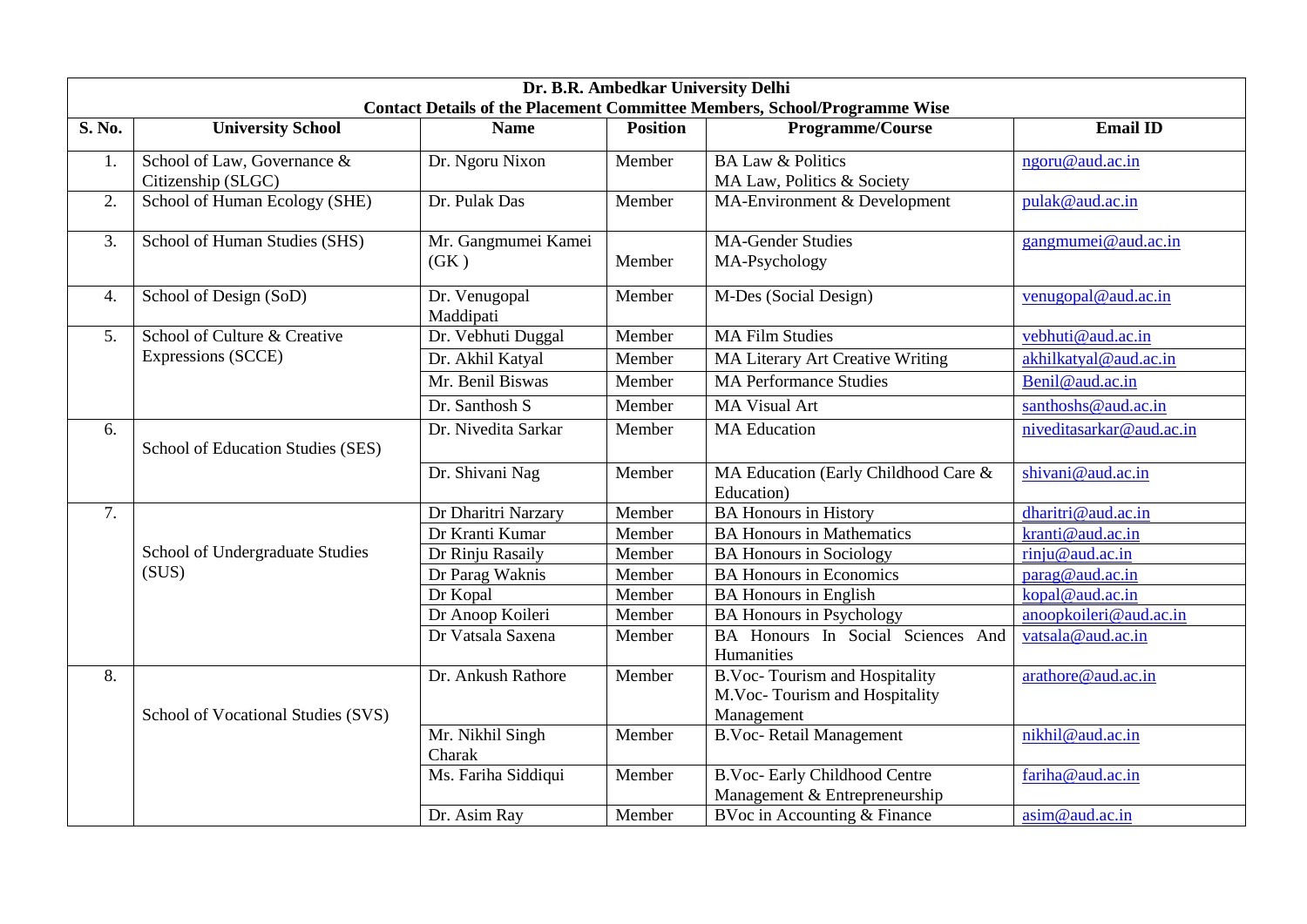| Dr. B.R. Ambedkar University Delhi                                               |                                                    |                             |                 |                                                                                     |                          |  |  |  |  |
|----------------------------------------------------------------------------------|----------------------------------------------------|-----------------------------|-----------------|-------------------------------------------------------------------------------------|--------------------------|--|--|--|--|
| <b>Contact Details of the Placement Committee Members, School/Programme Wise</b> |                                                    |                             |                 |                                                                                     |                          |  |  |  |  |
| S. No.                                                                           | <b>University School</b>                           | <b>Name</b>                 | <b>Position</b> | Programme/Course                                                                    | <b>Email ID</b>          |  |  |  |  |
| 1.                                                                               | School of Law, Governance &                        | Dr. Ngoru Nixon             | Member          | <b>BA Law &amp; Politics</b>                                                        | ngoru@aud.ac.in          |  |  |  |  |
|                                                                                  | Citizenship (SLGC)                                 |                             |                 | MA Law, Politics & Society                                                          |                          |  |  |  |  |
| 2.                                                                               | School of Human Ecology (SHE)                      | Dr. Pulak Das               | Member          | MA-Environment & Development                                                        | pulak@aud.ac.in          |  |  |  |  |
| 3.                                                                               | School of Human Studies (SHS)                      | Mr. Gangmumei Kamei<br>(GK) | Member          | <b>MA-Gender Studies</b><br>MA-Psychology                                           | gangmumei@aud.ac.in      |  |  |  |  |
| 4.                                                                               | School of Design (SoD)                             | Dr. Venugopal<br>Maddipati  | Member          | M-Des (Social Design)                                                               | venugopal@aud.ac.in      |  |  |  |  |
| 5.                                                                               | School of Culture & Creative<br>Expressions (SCCE) | Dr. Vebhuti Duggal          | Member          | <b>MA Film Studies</b>                                                              | vebhuti@aud.ac.in        |  |  |  |  |
|                                                                                  |                                                    | Dr. Akhil Katyal            | Member          | <b>MA Literary Art Creative Writing</b>                                             | akhilkatyal@aud.ac.in    |  |  |  |  |
|                                                                                  |                                                    | Mr. Benil Biswas            | Member          | <b>MA Performance Studies</b>                                                       | Benil@aud.ac.in          |  |  |  |  |
|                                                                                  |                                                    | Dr. Santhosh S              | Member          | <b>MA Visual Art</b>                                                                | santhoshs@aud.ac.in      |  |  |  |  |
| 6.                                                                               | School of Education Studies (SES)                  | Dr. Nivedita Sarkar         | Member          | <b>MA</b> Education                                                                 | niveditasarkar@aud.ac.in |  |  |  |  |
|                                                                                  |                                                    | Dr. Shivani Nag             | Member          | MA Education (Early Childhood Care &<br>Education)                                  | shivani@aud.ac.in        |  |  |  |  |
| 7.                                                                               |                                                    | Dr Dharitri Narzary         | Member          | <b>BA Honours in History</b>                                                        | dharitri@aud.ac.in       |  |  |  |  |
|                                                                                  | School of Undergraduate Studies<br>(SUS)           | Dr Kranti Kumar             | Member          | <b>BA Honours in Mathematics</b>                                                    | kranti@aud.ac.in         |  |  |  |  |
|                                                                                  |                                                    | Dr Rinju Rasaily            | Member          | <b>BA Honours in Sociology</b>                                                      | rinju@aud.ac.in          |  |  |  |  |
|                                                                                  |                                                    | Dr Parag Waknis             | Member          | <b>BA Honours in Economics</b>                                                      | parag@aud.ac.in          |  |  |  |  |
|                                                                                  |                                                    | Dr Kopal                    | Member          | <b>BA Honours in English</b>                                                        | kopal@aud.ac.in          |  |  |  |  |
|                                                                                  |                                                    | Dr Anoop Koileri            | Member          | <b>BA Honours in Psychology</b>                                                     | anoopkoileri@aud.ac.in   |  |  |  |  |
|                                                                                  |                                                    | Dr Vatsala Saxena           | Member          | BA Honours In Social Sciences And<br>Humanities                                     | vatsala@aud.ac.in        |  |  |  |  |
| 8.                                                                               | School of Vocational Studies (SVS)                 | Dr. Ankush Rathore          | Member          | <b>B.Voc-Tourism and Hospitality</b><br>M.Voc-Tourism and Hospitality<br>Management | arathore@aud.ac.in       |  |  |  |  |
|                                                                                  |                                                    | Mr. Nikhil Singh<br>Charak  | Member          | <b>B.Voc-Retail Management</b>                                                      | nikhil@aud.ac.in         |  |  |  |  |
|                                                                                  |                                                    | Ms. Fariha Siddiqui         | Member          | <b>B.Voc-Early Childhood Centre</b><br>Management & Entrepreneurship                | fariha@aud.ac.in         |  |  |  |  |
|                                                                                  |                                                    | Dr. Asim Ray                | Member          | BVoc in Accounting & Finance                                                        | asim@aud.ac.in           |  |  |  |  |